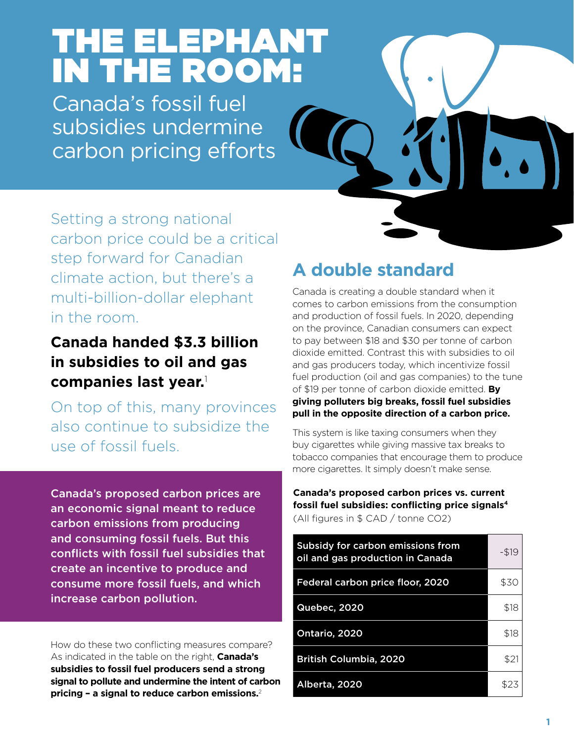# THE ELEPHANT IN THE ROOM:

Canada's fossil fuel subsidies undermine carbon pricing efforts



Setting a strong national carbon price could be a critical step forward for Canadian climate action, but there's a multi-billion-dollar elephant in the room.

**Canada handed \$3.3 billion in subsidies to oil and gas companies last year.**<sup>1</sup>

On top of this, many provinces also continue to subsidize the use of fossil fuels.

Canada's proposed carbon prices are an economic signal meant to reduce carbon emissions from producing and consuming fossil fuels. But this conflicts with fossil fuel subsidies that create an incentive to produce and consume more fossil fuels, and which increase carbon pollution.

How do these two conflicting measures compare? As indicated in the table on the right, **Canada's subsidies to fossil fuel producers send a strong signal to pollute and undermine the intent of carbon pricing – a signal to reduce carbon emissions.**2

# **A double standard**

Canada is creating a double standard when it comes to carbon emissions from the consumption and production of fossil fuels. In 2020, depending on the province, Canadian consumers can expect to pay between \$18 and \$30 per tonne of carbon dioxide emitted. Contrast this with subsidies to oil and gas producers today, which incentivize fossil fuel production (oil and gas companies) to the tune of \$19 per tonne of carbon dioxide emitted. **By giving polluters big breaks, fossil fuel subsidies pull in the opposite direction of a carbon price.**

This system is like taxing consumers when they buy cigarettes while giving massive tax breaks to tobacco companies that encourage them to produce more cigarettes. It simply doesn't make sense.

#### **Canada's proposed carbon prices vs. current fossil fuel subsidies: conflicting price signals4** (All figures in \$ CAD / tonne CO2)

| Subsidy for carbon emissions from<br>oil and gas production in Canada | $-519$ |
|-----------------------------------------------------------------------|--------|
| Federal carbon price floor, 2020                                      | \$30   |
| Quebec, 2020                                                          | \$18   |
| Ontario, 2020                                                         | \$18   |
| <b>British Columbia, 2020</b>                                         | \$21   |
| Alberta, 2020                                                         | \$23   |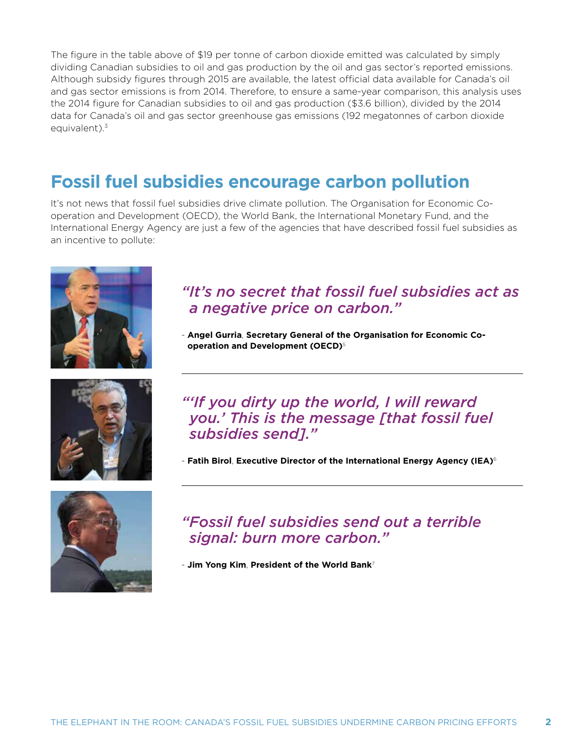The figure in the table above of \$19 per tonne of carbon dioxide emitted was calculated by simply dividing Canadian subsidies to oil and gas production by the oil and gas sector's reported emissions. Although subsidy figures through 2015 are available, the latest official data available for Canada's oil and gas sector emissions is from 2014. Therefore, to ensure a same-year comparison, this analysis uses the 2014 figure for Canadian subsidies to oil and gas production (\$3.6 billion), divided by the 2014 data for Canada's oil and gas sector greenhouse gas emissions (192 megatonnes of carbon dioxide equivalent).<sup>3</sup>

# **Fossil fuel subsidies encourage carbon pollution**

It's not news that fossil fuel subsidies drive climate pollution. The Organisation for Economic Cooperation and Development (OECD), the World Bank, the International Monetary Fund, and the International Energy Agency are just a few of the agencies that have described fossil fuel subsidies as an incentive to pollute:







## *"It's no secret that fossil fuel subsidies act as a negative price on carbon."*

- **Angel Gurria**, **Secretary General of the Organisation for Economic Cooperation and Development (OECD)**<sup>5</sup>

*"'If you dirty up the world, I will reward you.' This is the message [that fossil fuel subsidies send]."*

- **Fatih Birol**, **Executive Director of the International Energy Agency (IEA)**<sup>6</sup>

## *"Fossil fuel subsidies send out a terrible signal: burn more carbon."*

- **Jim Yong Kim**, **President of the World Bank**<sup>7</sup>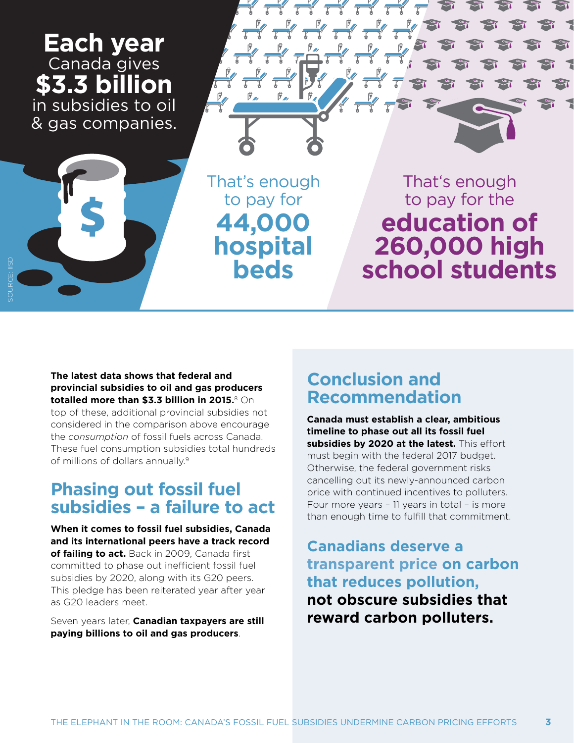

#### **The latest data shows that federal and provincial subsidies to oil and gas producers totalled more than \$3.3 billion in 2015.**8 On

top of these, additional provincial subsidies not considered in the comparison above encourage the *consumption* of fossil fuels across Canada. These fuel consumption subsidies total hundreds of millions of dollars annually.9

## **Phasing out fossil fuel subsidies – a failure to act**

**When it comes to fossil fuel subsidies, Canada and its international peers have a track record of failing to act.** Back in 2009, Canada first committed to phase out inefficient fossil fuel subsidies by 2020, along with its G20 peers. This pledge has been reiterated year after year as G20 leaders meet.

Seven years later, **Canadian taxpayers are still paying billions to oil and gas producers**.

## **Conclusion and Recommendation**

**Canada must establish a clear, ambitious timeline to phase out all its fossil fuel**  subsidies by 2020 at the latest. This effort must begin with the federal 2017 budget. Otherwise, the federal government risks cancelling out its newly-announced carbon price with continued incentives to polluters. Four more years – 11 years in total – is more than enough time to fulfill that commitment.

**Canadians deserve a transparent price on carbon that reduces pollution, not obscure subsidies that reward carbon polluters.**